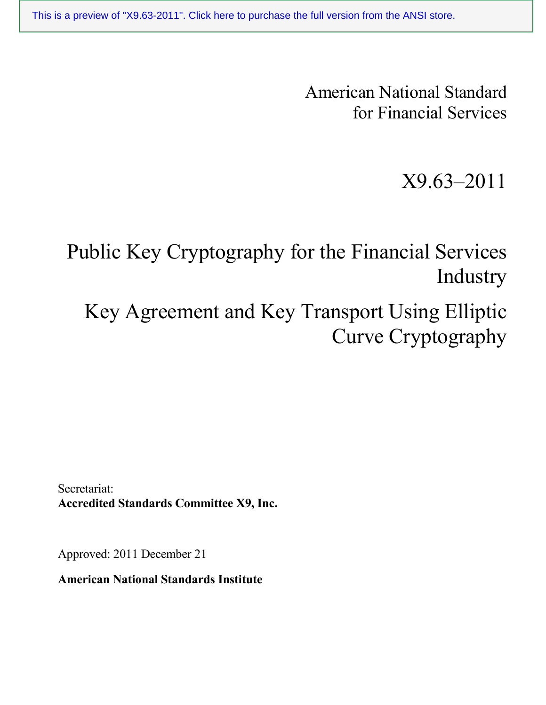American National Standard for Financial Services

X9.63–2011

Public Key Cryptography for the Financial Services Industry

Key Agreement and Key Transport Using Elliptic Curve Cryptography

Secretariat: **Accredited Standards Committee X9, Inc.**

Approved: 2011 December 21

**American National Standards Institute**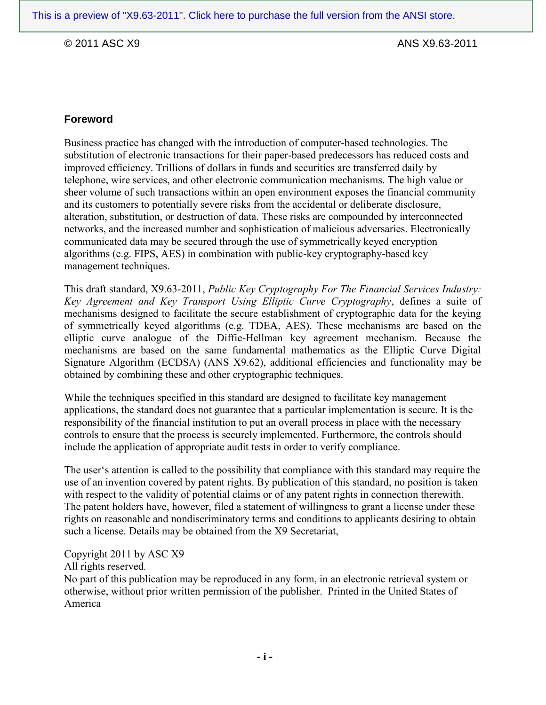© 2011 ASC X9 ANS X9.63-2011

#### **Foreword**

Business practice has changed with the introduction of computer-based technologies. The substitution of electronic transactions for their paper-based predecessors has reduced costs and improved efficiency. Trillions of dollars in funds and securities are transferred daily by telephone, wire services, and other electronic communication mechanisms. The high value or sheer volume of such transactions within an open environment exposes the financial community and its customers to potentially severe risks from the accidental or deliberate disclosure, alteration, substitution, or destruction of data. These risks are compounded by interconnected networks, and the increased number and sophistication of malicious adversaries. Electronically communicated data may be secured through the use of symmetrically keyed encryption algorithms (e.g. FIPS, AES) in combination with public-key cryptography-based key management techniques.

This draft standard, X9.63-2011, *Public Key Cryptography For The Financial Services Industry: Key Agreement and Key Transport Using Elliptic Curve Cryptography*, defines a suite of mechanisms designed to facilitate the secure establishment of cryptographic data for the keying of symmetrically keyed algorithms (e.g. TDEA, AES). These mechanisms are based on the elliptic curve analogue of the Diffie-Hellman key agreement mechanism. Because the mechanisms are based on the same fundamental mathematics as the Elliptic Curve Digital Signature Algorithm (ECDSA) (ANS X9.62), additional efficiencies and functionality may be obtained by combining these and other cryptographic techniques.

While the techniques specified in this standard are designed to facilitate key management applications, the standard does not guarantee that a particular implementation is secure. It is the responsibility of the financial institution to put an overall process in place with the necessary controls to ensure that the process is securely implemented. Furthermore, the controls should include the application of appropriate audit tests in order to verify compliance.

The user's attention is called to the possibility that compliance with this standard may require the use of an invention covered by patent rights. By publication of this standard, no position is taken with respect to the validity of potential claims or of any patent rights in connection therewith. The patent holders have, however, filed a statement of willingness to grant a license under these rights on reasonable and nondiscriminatory terms and conditions to applicants desiring to obtain such a license. Details may be obtained from the X9 Secretariat,

Copyright 2011 by ASC X9 All rights reserved.

No part of this publication may be reproduced in any form, in an electronic retrieval system or otherwise, without prior written permission of the publisher. Printed in the United States of America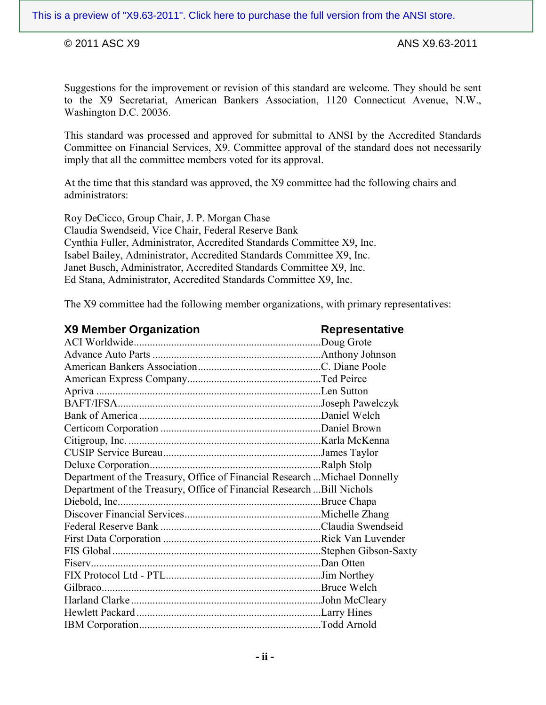Suggestions for the improvement or revision of this standard are welcome. They should be sent to the X9 Secretariat, American Bankers Association, 1120 Connecticut Avenue, N.W., Washington D.C. 20036.

This standard was processed and approved for submittal to ANSI by the Accredited Standards Committee on Financial Services, X9. Committee approval of the standard does not necessarily imply that all the committee members voted for its approval.

At the time that this standard was approved, the X9 committee had the following chairs and administrators:

Roy DeCicco, Group Chair, J. P. Morgan Chase Claudia Swendseid, Vice Chair, Federal Reserve Bank Cynthia Fuller, Administrator, Accredited Standards Committee X9, Inc. Isabel Bailey, Administrator, Accredited Standards Committee X9, Inc. Janet Busch, Administrator, Accredited Standards Committee X9, Inc. Ed Stana, Administrator, Accredited Standards Committee X9, Inc.

The X9 committee had the following member organizations, with primary representatives:

| X9 Member Organization                                                     | <b>Representative</b> |
|----------------------------------------------------------------------------|-----------------------|
|                                                                            | Doug Grote            |
|                                                                            |                       |
|                                                                            |                       |
|                                                                            |                       |
|                                                                            |                       |
|                                                                            |                       |
|                                                                            |                       |
|                                                                            |                       |
|                                                                            |                       |
|                                                                            |                       |
|                                                                            |                       |
| Department of the Treasury, Office of Financial Research  Michael Donnelly |                       |
| Department of the Treasury, Office of Financial Research  Bill Nichols     |                       |
| Diebold, Inc.                                                              |                       |
|                                                                            |                       |
|                                                                            |                       |
|                                                                            |                       |
|                                                                            |                       |
|                                                                            |                       |
|                                                                            |                       |
|                                                                            |                       |
|                                                                            |                       |
|                                                                            |                       |
|                                                                            |                       |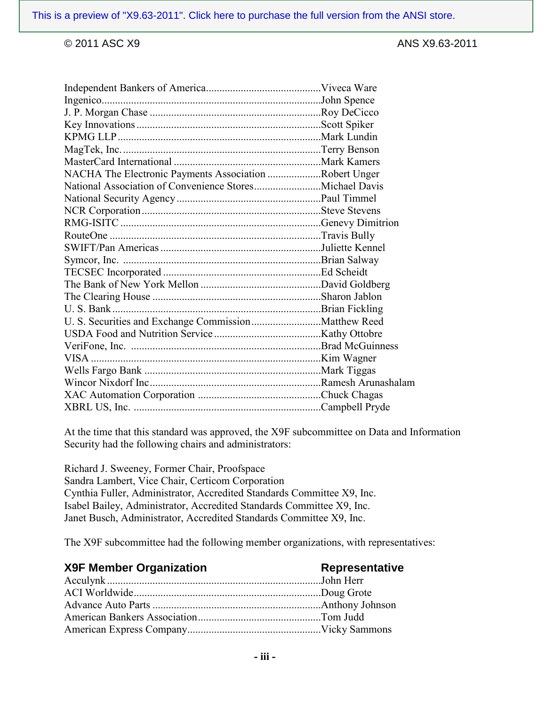| NACHA The Electronic Payments Association Robert Unger |  |
|--------------------------------------------------------|--|
|                                                        |  |
|                                                        |  |
|                                                        |  |
|                                                        |  |
|                                                        |  |
|                                                        |  |
|                                                        |  |
|                                                        |  |
|                                                        |  |
|                                                        |  |
|                                                        |  |
|                                                        |  |
|                                                        |  |
|                                                        |  |
|                                                        |  |
|                                                        |  |
|                                                        |  |
|                                                        |  |
|                                                        |  |

At the time that this standard was approved, the X9F subcommittee on Data and Information Security had the following chairs and administrators:

Richard J. Sweeney, Former Chair, Proofspace Sandra Lambert, Vice Chair, Certicom Corporation Cynthia Fuller, Administrator, Accredited Standards Committee X9, Inc. Isabel Bailey, Administrator, Accredited Standards Committee X9, Inc. Janet Busch, Administrator, Accredited Standards Committee X9, Inc.

The X9F subcommittee had the following member organizations, with representatives:

| <b>X9F Member Organization</b> | Representative |
|--------------------------------|----------------|
|                                |                |
|                                |                |
|                                |                |
|                                |                |
|                                |                |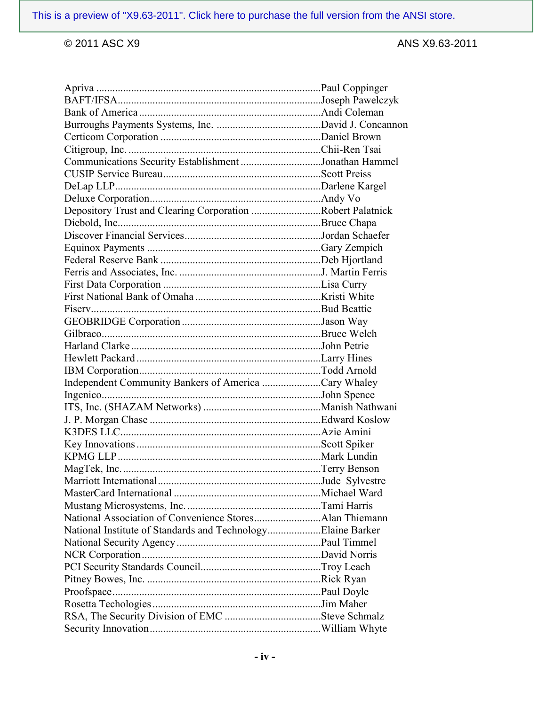| Communications Security Establishment Jonathan Hammel       |                |
|-------------------------------------------------------------|----------------|
|                                                             |                |
|                                                             |                |
|                                                             |                |
| Depository Trust and Clearing Corporation Robert Palatnick  |                |
|                                                             |                |
|                                                             |                |
|                                                             |                |
|                                                             |                |
|                                                             |                |
|                                                             |                |
|                                                             |                |
|                                                             |                |
|                                                             |                |
|                                                             |                |
|                                                             |                |
|                                                             |                |
|                                                             |                |
| Independent Community Bankers of America Cary Whaley        |                |
|                                                             |                |
|                                                             |                |
|                                                             |                |
|                                                             |                |
|                                                             |                |
|                                                             |                |
|                                                             |                |
| Marriott International                                      | Jude Sylvestre |
|                                                             |                |
|                                                             |                |
|                                                             |                |
| National Institute of Standards and TechnologyElaine Barker |                |
|                                                             |                |
|                                                             |                |
|                                                             |                |
|                                                             |                |
|                                                             |                |
|                                                             |                |
|                                                             |                |
|                                                             |                |
|                                                             |                |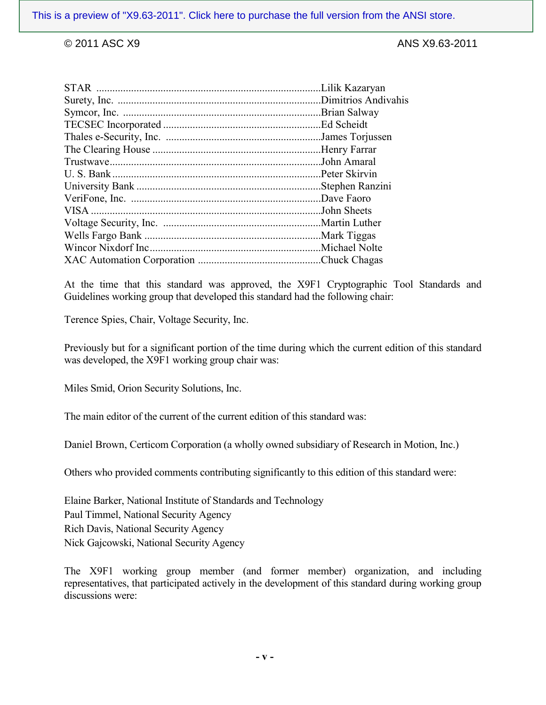| Lilik Kazaryan   |
|------------------|
|                  |
|                  |
|                  |
|                  |
|                  |
|                  |
| Peter Skirvin    |
| .Stephen Ranzini |
| Dave Faoro       |
| John Sheets      |
| Martin Luther    |
|                  |
|                  |
|                  |
|                  |

At the time that this standard was approved, the X9F1 Cryptographic Tool Standards and Guidelines working group that developed this standard had the following chair:

Terence Spies, Chair, Voltage Security, Inc.

Previously but for a significant portion of the time during which the current edition of this standard was developed, the X9F1 working group chair was:

Miles Smid, Orion Security Solutions, Inc.

The main editor of the current of the current edition of this standard was:

Daniel Brown, Certicom Corporation (a wholly owned subsidiary of Research in Motion, Inc.)

Others who provided comments contributing significantly to this edition of this standard were:

Elaine Barker, National Institute of Standards and Technology Paul Timmel, National Security Agency Rich Davis, National Security Agency Nick Gajcowski, National Security Agency

The X9F1 working group member (and former member) organization, and including representatives, that participated actively in the development of this standard during working group discussions were: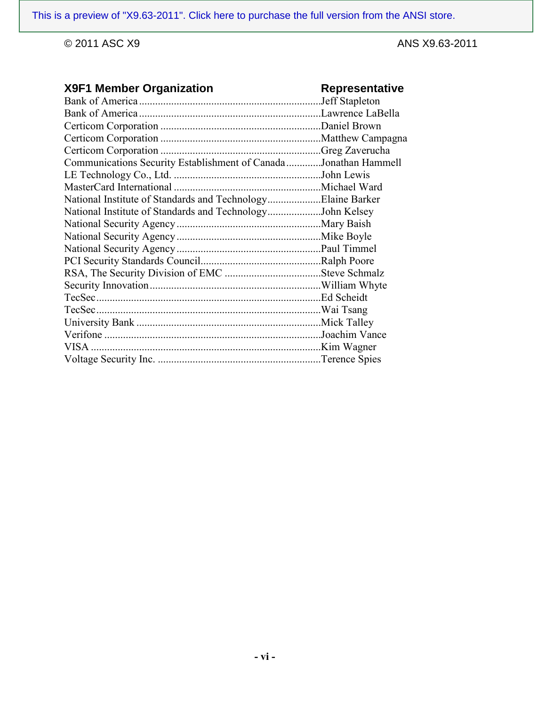| X9F1 Member Organization                                        | <b>Representative</b> |
|-----------------------------------------------------------------|-----------------------|
|                                                                 |                       |
|                                                                 |                       |
|                                                                 |                       |
|                                                                 |                       |
|                                                                 |                       |
| Communications Security Establishment of CanadaJonathan Hammell |                       |
|                                                                 |                       |
|                                                                 |                       |
|                                                                 |                       |
| National Institute of Standards and TechnologyJohn Kelsey       |                       |
|                                                                 |                       |
|                                                                 |                       |
|                                                                 |                       |
|                                                                 |                       |
|                                                                 |                       |
|                                                                 |                       |
|                                                                 |                       |
|                                                                 |                       |
|                                                                 |                       |
|                                                                 |                       |
|                                                                 |                       |
|                                                                 |                       |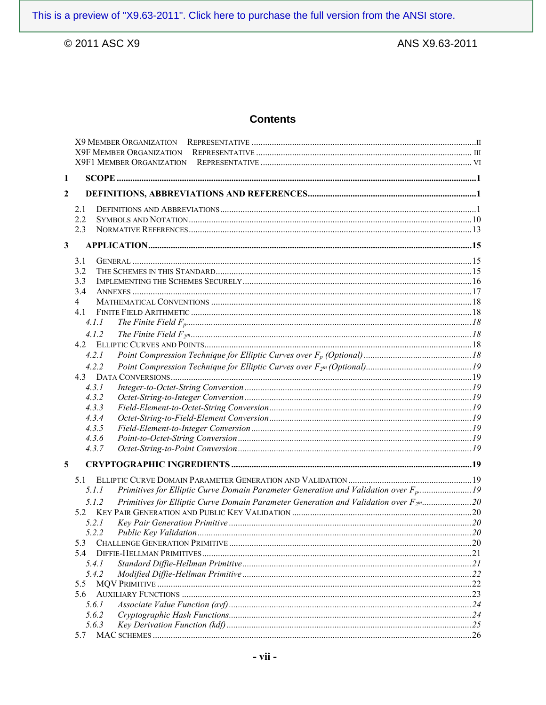# © 2011 ASC X9

ANS X9.63-2011

### **Contents**

| 1            |                                                                                                    |  |
|--------------|----------------------------------------------------------------------------------------------------|--|
| $\mathbf{2}$ |                                                                                                    |  |
|              | 2.1                                                                                                |  |
|              | 2.2                                                                                                |  |
|              | 2.3                                                                                                |  |
| 3            |                                                                                                    |  |
|              | 3.1                                                                                                |  |
|              | 3.2                                                                                                |  |
|              | 3.3                                                                                                |  |
|              | 3.4                                                                                                |  |
|              | 4                                                                                                  |  |
|              | 4.1                                                                                                |  |
|              | 4.1.1                                                                                              |  |
|              |                                                                                                    |  |
|              | 4.1.2                                                                                              |  |
|              |                                                                                                    |  |
|              | 4.2.1                                                                                              |  |
|              | 4.2.2                                                                                              |  |
|              |                                                                                                    |  |
|              | 4.3.1                                                                                              |  |
|              | 4.3.2                                                                                              |  |
|              | 4.3.3                                                                                              |  |
|              | 4.3.4                                                                                              |  |
|              | 4.3.5                                                                                              |  |
|              | 4.3.6                                                                                              |  |
|              | 4.3.7                                                                                              |  |
| 5            |                                                                                                    |  |
|              | 5.1                                                                                                |  |
|              | 5.1.1                                                                                              |  |
|              | Primitives for Elliptic Curve Domain Parameter Generation and Validation over $F_{2^m$ 20<br>5.1.2 |  |
|              | 5.2                                                                                                |  |
|              | 5.2.1                                                                                              |  |
|              | 5.2.2                                                                                              |  |
|              | 5.3                                                                                                |  |
|              | 5.4                                                                                                |  |
|              | 5.4.1                                                                                              |  |
|              | 5.4.2                                                                                              |  |
|              | 5.5                                                                                                |  |
|              | 5.6                                                                                                |  |
|              | 5.6.1                                                                                              |  |
|              | 5.6.2                                                                                              |  |
|              | 5.6.3                                                                                              |  |
|              | 5.7                                                                                                |  |
|              |                                                                                                    |  |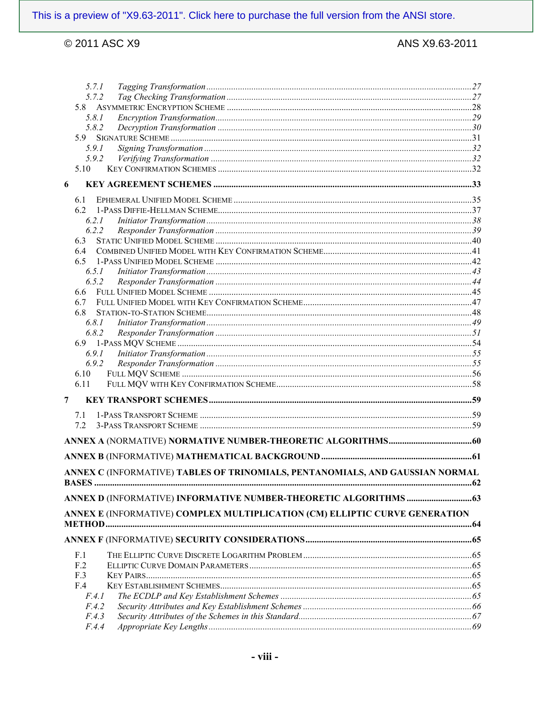# © 2011 ASC X9

### ANS X9.63-2011

| 5.7.1          |                                                                               |  |
|----------------|-------------------------------------------------------------------------------|--|
| 5.7.2          |                                                                               |  |
|                |                                                                               |  |
| 5.8.1          |                                                                               |  |
| 5.8.2          |                                                                               |  |
| 5.9<br>5.9.1   |                                                                               |  |
| 5.9.2          |                                                                               |  |
| 5.10           |                                                                               |  |
| 6              |                                                                               |  |
| 6.1            |                                                                               |  |
| 6.2            |                                                                               |  |
| 6.2.1          |                                                                               |  |
| 6.2.2          |                                                                               |  |
| 6.3            |                                                                               |  |
| 6.4<br>6.5     |                                                                               |  |
| 6.5.1          |                                                                               |  |
| 6.5.2          |                                                                               |  |
| 6.6            |                                                                               |  |
| 6.7            |                                                                               |  |
| 6.8            |                                                                               |  |
| 6.8.1          |                                                                               |  |
| 6.8.2          |                                                                               |  |
|                |                                                                               |  |
| 6.9.1<br>6.9.2 |                                                                               |  |
| 6.10           |                                                                               |  |
| 6.11           |                                                                               |  |
| 7              |                                                                               |  |
| 7.1            |                                                                               |  |
| 7.2            |                                                                               |  |
|                |                                                                               |  |
|                |                                                                               |  |
|                | ANNEX C (INFORMATIVE) TABLES OF TRINOMIALS, PENTANOMIALS, AND GAUSSIAN NORMAL |  |
|                |                                                                               |  |
|                |                                                                               |  |
|                | ANNEX E (INFORMATIVE) COMPLEX MULTIPLICATION (CM) ELLIPTIC CURVE GENERATION   |  |
|                |                                                                               |  |
| F.1            |                                                                               |  |
| F.2            |                                                                               |  |
| F.3            |                                                                               |  |
| F.4<br>F.4.1   |                                                                               |  |
| F.4.2          |                                                                               |  |
| F.4.3          |                                                                               |  |
| F.4.4          |                                                                               |  |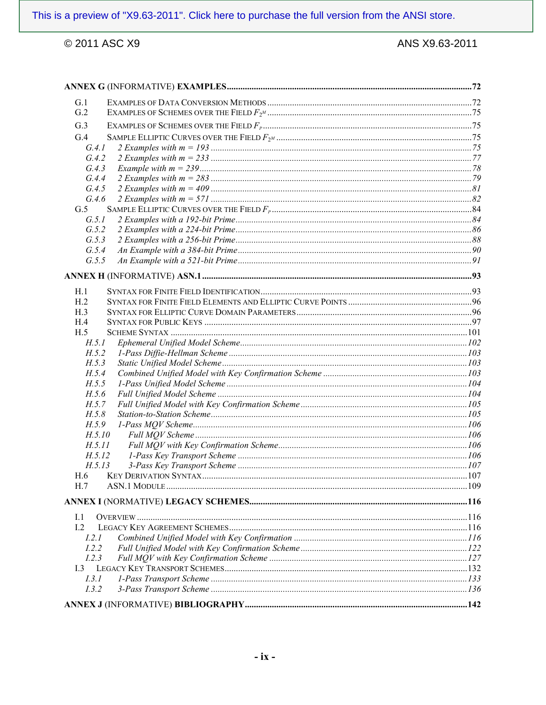© 2011 ASC X9

ANS X9.63-2011

| G <sub>1</sub> |  |
|----------------|--|
| G.2            |  |
| G.3            |  |
| G.4            |  |
| G.4.1          |  |
| G.4.2          |  |
| G.4.3          |  |
| G.4.4          |  |
| G.4.5          |  |
| G.4.6          |  |
| G.5            |  |
| G.5.1          |  |
| G.5.2          |  |
| G.5.3          |  |
| G.5.4          |  |
| G.5.5          |  |
|                |  |
| H.1            |  |
| H.2            |  |
| H.3            |  |
| H.4            |  |
| H.5            |  |
| H.5.1          |  |
| H.5.2          |  |
| H.5.3          |  |
| H.5.4          |  |
| H.5.5          |  |
| H.5.6          |  |
| H.5.7          |  |
| H.5.8          |  |
| H.5.9          |  |
| H.5.10         |  |
| H.5.11         |  |
| H.5.12         |  |
| H.5.13         |  |
| H.6            |  |
| H.7            |  |
|                |  |
| 1.1            |  |
| L <sub>2</sub> |  |
| I.2.1          |  |
| I.2.2          |  |
| I.2.3          |  |
| 1.3            |  |
| I.3.1          |  |
| 1.3.2          |  |
|                |  |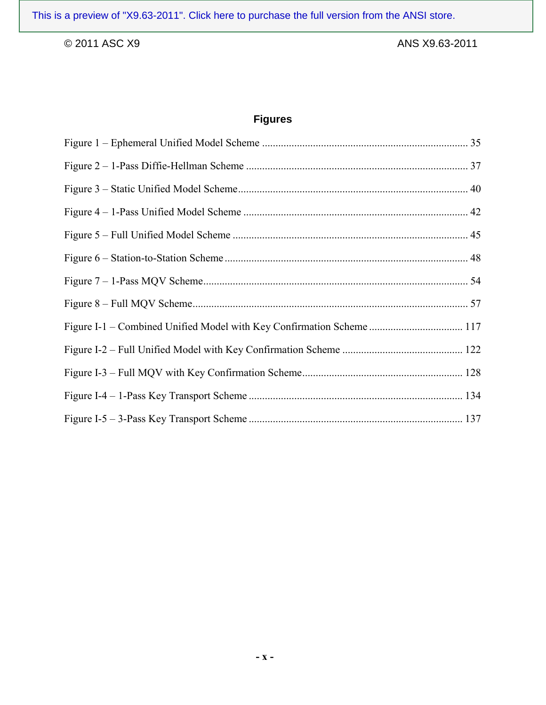© 2011 ASC X9 ANS X9.63-2011

# **Figures**

| Figure I-1 - Combined Unified Model with Key Confirmation Scheme  117 |  |
|-----------------------------------------------------------------------|--|
|                                                                       |  |
|                                                                       |  |
|                                                                       |  |
|                                                                       |  |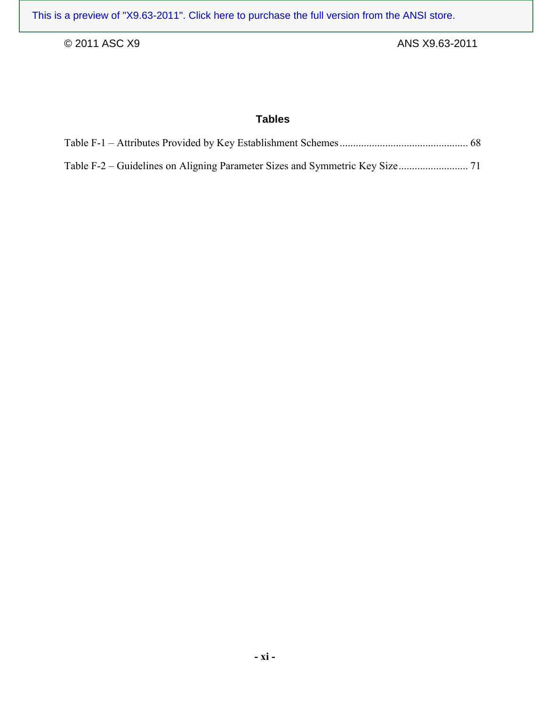© 2011 ASC X9 ANS X9.63-2011

# **Tables**